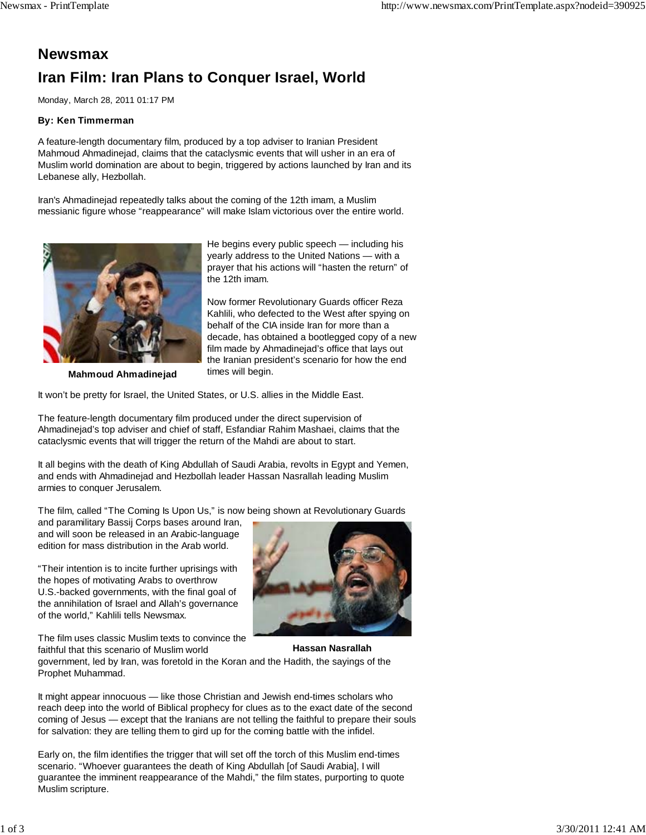## **Newsmax Iran Film: Iran Plans to Conquer Israel, World**

Monday, March 28, 2011 01:17 PM

## **By: Ken Timmerman**

A feature-length documentary film, produced by a top adviser to Iranian President Mahmoud Ahmadinejad, claims that the cataclysmic events that will usher in an era of Muslim world domination are about to begin, triggered by actions launched by Iran and its Lebanese ally, Hezbollah.

Iran's Ahmadinejad repeatedly talks about the coming of the 12th imam, a Muslim messianic figure whose "reappearance" will make Islam victorious over the entire world.



He begins every public speech — including his yearly address to the United Nations — with a prayer that his actions will "hasten the return" of the 12th imam.

Now former Revolutionary Guards officer Reza Kahlili, who defected to the West after spying on behalf of the CIA inside Iran for more than a decade, has obtained a bootlegged copy of a new film made by Ahmadinejad's office that lays out the Iranian president's scenario for how the end times will begin.

**Mahmoud Ahmadinejad**

It won't be pretty for Israel, the United States, or U.S. allies in the Middle East.

The feature-length documentary film produced under the direct supervision of Ahmadinejad's top adviser and chief of staff, Esfandiar Rahim Mashaei, claims that the cataclysmic events that will trigger the return of the Mahdi are about to start.

It all begins with the death of King Abdullah of Saudi Arabia, revolts in Egypt and Yemen, and ends with Ahmadinejad and Hezbollah leader Hassan Nasrallah leading Muslim armies to conquer Jerusalem.

The film, called "The Coming Is Upon Us," is now being shown at Revolutionary Guards

and paramilitary Bassij Corps bases around Iran, and will soon be released in an Arabic-language edition for mass distribution in the Arab world.

"Their intention is to incite further uprisings with the hopes of motivating Arabs to overthrow U.S.-backed governments, with the final goal of the annihilation of Israel and Allah's governance of the world," Kahlili tells Newsmax.

The film uses classic Muslim texts to convince the faithful that this scenario of Muslim world



**Hassan Nasrallah**

government, led by Iran, was foretold in the Koran and the Hadith, the sayings of the Prophet Muhammad.

It might appear innocuous — like those Christian and Jewish end-times scholars who reach deep into the world of Biblical prophecy for clues as to the exact date of the second coming of Jesus — except that the Iranians are not telling the faithful to prepare their souls for salvation: they are telling them to gird up for the coming battle with the infidel.

Early on, the film identifies the trigger that will set off the torch of this Muslim end-times scenario. "Whoever guarantees the death of King Abdullah [of Saudi Arabia], I will guarantee the imminent reappearance of the Mahdi," the film states, purporting to quote Muslim scripture.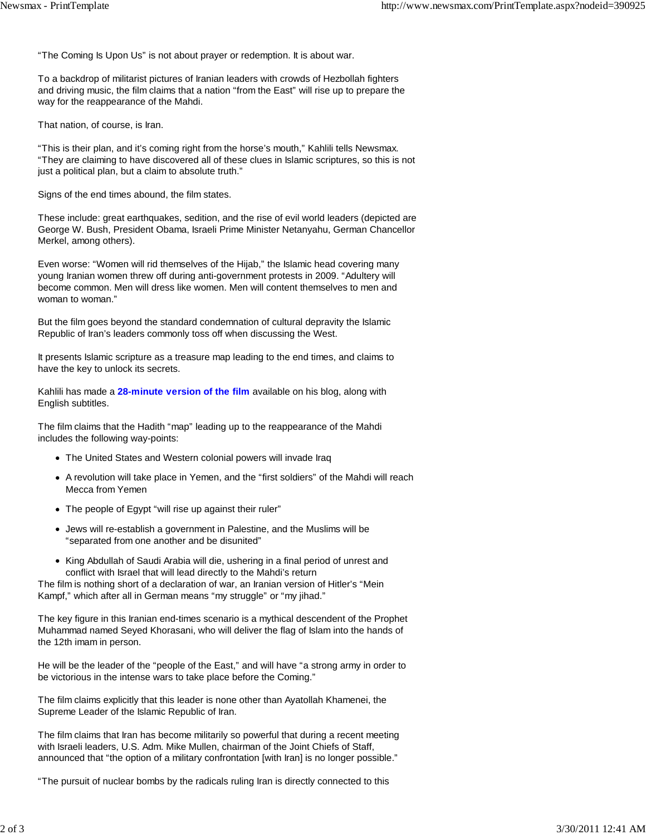"The Coming Is Upon Us" is not about prayer or redemption. It is about war.

To a backdrop of militarist pictures of Iranian leaders with crowds of Hezbollah fighters and driving music, the film claims that a nation "from the East" will rise up to prepare the way for the reappearance of the Mahdi.

That nation, of course, is Iran.

"This is their plan, and it's coming right from the horse's mouth," Kahlili tells Newsmax. "They are claiming to have discovered all of these clues in Islamic scriptures, so this is not just a political plan, but a claim to absolute truth."

Signs of the end times abound, the film states.

These include: great earthquakes, sedition, and the rise of evil world leaders (depicted are George W. Bush, President Obama, Israeli Prime Minister Netanyahu, German Chancellor Merkel, among others).

Even worse: "Women will rid themselves of the Hijab," the Islamic head covering many young Iranian women threw off during anti-government protests in 2009. "Adultery will become common. Men will dress like women. Men will content themselves to men and woman to woman."

But the film goes beyond the standard condemnation of cultural depravity the Islamic Republic of Iran's leaders commonly toss off when discussing the West.

It presents Islamic scripture as a treasure map leading to the end times, and claims to have the key to unlock its secrets.

Kahlili has made a **28-minute version of the film** available on his blog, along with English subtitles.

The film claims that the Hadith "map" leading up to the reappearance of the Mahdi includes the following way-points:

- The United States and Western colonial powers will invade Iraq
- A revolution will take place in Yemen, and the "first soldiers" of the Mahdi will reach Mecca from Yemen
- The people of Egypt "will rise up against their ruler"
- Jews will re-establish a government in Palestine, and the Muslims will be "separated from one another and be disunited"
- King Abdullah of Saudi Arabia will die, ushering in a final period of unrest and conflict with Israel that will lead directly to the Mahdi's return

The film is nothing short of a declaration of war, an Iranian version of Hitler's "Mein Kampf," which after all in German means "my struggle" or "my jihad."

The key figure in this Iranian end-times scenario is a mythical descendent of the Prophet Muhammad named Seyed Khorasani, who will deliver the flag of Islam into the hands of the 12th imam in person.

He will be the leader of the "people of the East," and will have "a strong army in order to be victorious in the intense wars to take place before the Coming."

The film claims explicitly that this leader is none other than Ayatollah Khamenei, the Supreme Leader of the Islamic Republic of Iran.

The film claims that Iran has become militarily so powerful that during a recent meeting with Israeli leaders, U.S. Adm. Mike Mullen, chairman of the Joint Chiefs of Staff, announced that "the option of a military confrontation [with Iran] is no longer possible."

"The pursuit of nuclear bombs by the radicals ruling Iran is directly connected to this